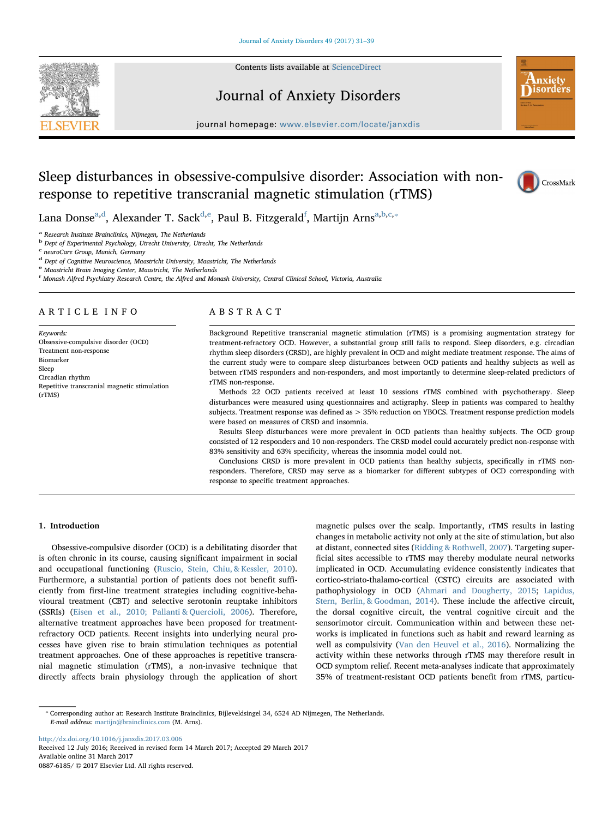

Contents lists available at [ScienceDirect](http://www.sciencedirect.com/science/journal/08876185)

# Journal of Anxiety Disorders



journal homepage: [www.elsevier.com/locate/janxdis](http://www.elsevier.com/locate/janxdis)

# Sleep disturbances in obsessive-compulsive disorder: Association with nonresponse to repetitive transcranial magnetic stimulation (rTMS)



L[a](#page-0-0)na Dons[e](#page-0-2) $^{\rm a,d}$  $^{\rm a,d}$  $^{\rm a,d}$ , Alexander T. Sa[c](#page-0-5)k $^{\rm d,e}$  $^{\rm d,e}$  $^{\rm d,e}$ , Paul B. Fitzgerald $^{\rm f}$  $^{\rm f}$  $^{\rm f}$ , Martijn Arns $^{\rm a,b,c,*}$  $^{\rm a,b,c,*}$  $^{\rm a,b,c,*}$  $^{\rm a,b,c,*}$ 

<span id="page-0-0"></span><sup>a</sup> Research Institute Brainclinics, Nijmegen, The Netherlands

<span id="page-0-4"></span>b Dept of Experimental Psychology, Utrecht University, Utrecht, The Netherlands

<span id="page-0-5"></span><sup>c</sup> neuroCare Group, Munich, Germany

<span id="page-0-1"></span>d Dept of Cognitive Neuroscience, Maastricht University, Maastricht, The Netherlands<br>
e Maastricht Brain Imaging Center, Maastricht, The Netherlands

<span id="page-0-2"></span>

<span id="page-0-3"></span>f Monash Alfred Psychiatry Research Centre, the Alfred and Monash University, Central Clinical School, Victoria, Australia

# ARTICLE INFO

Keywords: Obsessive-compulsive disorder (OCD) Treatment non-response Biomarker Sleep Circadian rhythm Repetitive transcranial magnetic stimulation (rTMS)

# ABSTRACT

Background Repetitive transcranial magnetic stimulation (rTMS) is a promising augmentation strategy for treatment-refractory OCD. However, a substantial group still fails to respond. Sleep disorders, e.g. circadian rhythm sleep disorders (CRSD), are highly prevalent in OCD and might mediate treatment response. The aims of the current study were to compare sleep disturbances between OCD patients and healthy subjects as well as between rTMS responders and non-responders, and most importantly to determine sleep-related predictors of rTMS non-response.

Methods 22 OCD patients received at least 10 sessions rTMS combined with psychotherapy. Sleep disturbances were measured using questionnaires and actigraphy. Sleep in patients was compared to healthy subjects. Treatment response was defined as > 35% reduction on YBOCS. Treatment response prediction models were based on measures of CRSD and insomnia.

Results Sleep disturbances were more prevalent in OCD patients than healthy subjects. The OCD group consisted of 12 responders and 10 non-responders. The CRSD model could accurately predict non-response with 83% sensitivity and 63% specificity, whereas the insomnia model could not.

Conclusions CRSD is more prevalent in OCD patients than healthy subjects, specifically in rTMS nonresponders. Therefore, CRSD may serve as a biomarker for different subtypes of OCD corresponding with response to specific treatment approaches.

## 1. Introduction

Obsessive-compulsive disorder (OCD) is a debilitating disorder that is often chronic in its course, causing significant impairment in social and occupational functioning [\(Ruscio, Stein, Chiu, & Kessler, 2010](#page-8-0)). Furthermore, a substantial portion of patients does not benefit sufficiently from first-line treatment strategies including cognitive-behavioural treatment (CBT) and selective serotonin reuptake inhibitors (SSRIs) [\(Eisen et al., 2010; Pallanti & Quercioli, 2006\)](#page-7-0). Therefore, alternative treatment approaches have been proposed for treatmentrefractory OCD patients. Recent insights into underlying neural processes have given rise to brain stimulation techniques as potential treatment approaches. One of these approaches is repetitive transcranial magnetic stimulation (rTMS), a non-invasive technique that directly affects brain physiology through the application of short magnetic pulses over the scalp. Importantly, rTMS results in lasting changes in metabolic activity not only at the site of stimulation, but also at distant, connected sites [\(Ridding & Rothwell, 2007\)](#page-8-1). Targeting superficial sites accessible to rTMS may thereby modulate neural networks implicated in OCD. Accumulating evidence consistently indicates that cortico-striato-thalamo-cortical (CSTC) circuits are associated with pathophysiology in OCD ([Ahmari and Dougherty, 2015](#page-7-1); [Lapidus,](#page-8-2) [Stern, Berlin, & Goodman, 2014](#page-8-2)). These include the affective circuit, the dorsal cognitive circuit, the ventral cognitive circuit and the sensorimotor circuit. Communication within and between these networks is implicated in functions such as habit and reward learning as well as compulsivity [\(Van den Heuvel et al., 2016\)](#page-8-3). Normalizing the activity within these networks through rTMS may therefore result in OCD symptom relief. Recent meta-analyses indicate that approximately 35% of treatment-resistant OCD patients benefit from rTMS, particu-

<span id="page-0-6"></span>⁎ Corresponding author at: Research Institute Brainclinics, Bijleveldsingel 34, 6524 AD Nijmegen, The Netherlands. E-mail address: [martijn@brainclinics.com](mailto:martijn@brainclinics.com) (M. Arns).

<http://dx.doi.org/10.1016/j.janxdis.2017.03.006> Received 12 July 2016; Received in revised form 14 March 2017; Accepted 29 March 2017 Available online 31 March 2017 0887-6185/ © 2017 Elsevier Ltd. All rights reserved.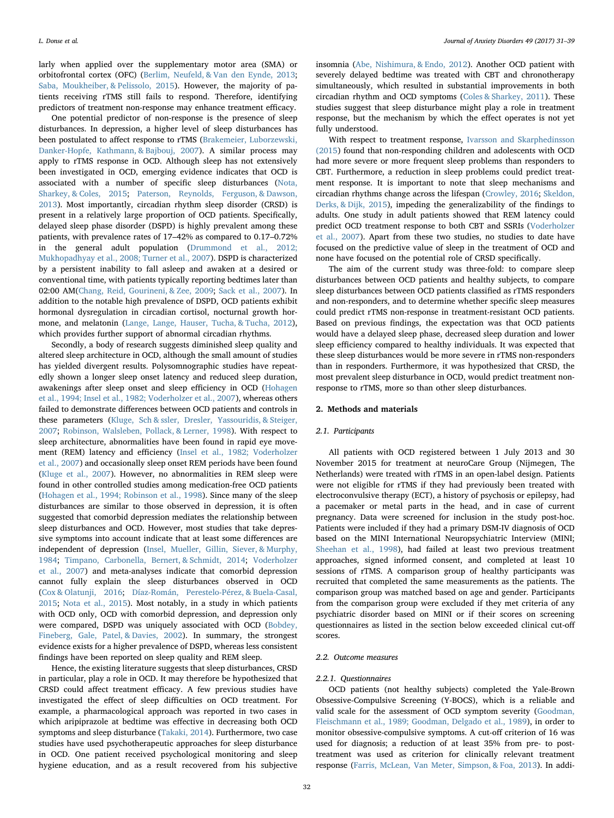larly when applied over the supplementary motor area (SMA) or orbitofrontal cortex (OFC) [\(Berlim, Neufeld, & Van den Eynde, 2013](#page-7-2); [Saba, Moukheiber, & Pelissolo, 2015](#page-8-4)). However, the majority of patients receiving rTMS still fails to respond. Therefore, identifying predictors of treatment non-response may enhance treatment efficacy.

One potential predictor of non-response is the presence of sleep disturbances. In depression, a higher level of sleep disturbances has been postulated to affect response to rTMS ([Brakemeier, Luborzewski,](#page-7-3) [Danker-Hopfe, Kathmann, & Bajbouj, 2007](#page-7-3)). A similar process may apply to rTMS response in OCD. Although sleep has not extensively been investigated in OCD, emerging evidence indicates that OCD is associated with a number of specific sleep disturbances ([Nota,](#page-8-5) [Sharkey, & Coles, 2015](#page-8-5); [Paterson, Reynolds, Ferguson, & Dawson,](#page-8-6) [2013\)](#page-8-6). Most importantly, circadian rhythm sleep disorder (CRSD) is present in a relatively large proportion of OCD patients. Specifically, delayed sleep phase disorder (DSPD) is highly prevalent among these patients, with prevalence rates of 17–42% as compared to 0.17–0.72% in the general adult population ([Drummond et al., 2012;](#page-7-4) [Mukhopadhyay et al., 2008; Turner et al., 2007](#page-7-4)). DSPD is characterized by a persistent inability to fall asleep and awaken at a desired or conventional time, with patients typically reporting bedtimes later than 02:00 AM[\(Chang, Reid, Gourineni, & Zee, 2009](#page-7-5); [Sack et al., 2007](#page-8-7)). In addition to the notable high prevalence of DSPD, OCD patients exhibit hormonal dysregulation in circadian cortisol, nocturnal growth hormone, and melatonin ([Lange, Lange, Hauser, Tucha, & Tucha, 2012](#page-8-8)), which provides further support of abnormal circadian rhythms.

Secondly, a body of research suggests diminished sleep quality and altered sleep architecture in OCD, although the small amount of studies has yielded divergent results. Polysomnographic studies have repeatedly shown a longer sleep onset latency and reduced sleep duration, awakenings after sleep onset and sleep efficiency in OCD [\(Hohagen](#page-7-6) [et al., 1994; Insel et al., 1982; Voderholzer et al., 2007\)](#page-7-6), whereas others failed to demonstrate differences between OCD patients and controls in these parameters ([Kluge, Sch & ssler, Dresler, Yassouridis, & Steiger,](#page-7-7) [2007;](#page-7-7) [Robinson, Walsleben, Pollack, & Lerner, 1998](#page-8-9)). With respect to sleep architecture, abnormalities have been found in rapid eye movement (REM) latency and efficiency ([Insel et al., 1982; Voderholzer](#page-7-8) [et al., 2007](#page-7-8)) and occasionally sleep onset REM periods have been found ([Kluge et al., 2007](#page-7-7)). However, no abnormalities in REM sleep were found in other controlled studies among medication-free OCD patients ([Hohagen et al., 1994; Robinson et al., 1998](#page-7-6)). Since many of the sleep disturbances are similar to those observed in depression, it is often suggested that comorbid depression mediates the relationship between sleep disturbances and OCD. However, most studies that take depressive symptoms into account indicate that at least some differences are independent of depression [\(Insel, Mueller, Gillin, Siever, & Murphy,](#page-7-9) [1984;](#page-7-9) [Timpano, Carbonella, Bernert, & Schmidt, 2014](#page-8-10); [Voderholzer](#page-8-11) [et al., 2007](#page-8-11)) and meta-analyses indicate that comorbid depression cannot fully explain the sleep disturbances observed in OCD ([Cox & Olatunji, 2016;](#page-7-10) [Díaz-Román, Perestelo-Pérez, & Buela-Casal,](#page-7-11) [2015;](#page-7-11) [Nota et al., 2015\)](#page-8-5). Most notably, in a study in which patients with OCD only, OCD with comorbid depression, and depression only were compared, DSPD was uniquely associated with OCD [\(Bobdey,](#page-7-12) [Fineberg, Gale, Patel, & Davies, 2002\)](#page-7-12). In summary, the strongest evidence exists for a higher prevalence of DSPD, whereas less consistent findings have been reported on sleep quality and REM sleep.

Hence, the existing literature suggests that sleep disturbances, CRSD in particular, play a role in OCD. It may therefore be hypothesized that CRSD could affect treatment efficacy. A few previous studies have investigated the effect of sleep difficulties on OCD treatment. For example, a pharmacological approach was reported in two cases in which aripiprazole at bedtime was effective in decreasing both OCD symptoms and sleep disturbance [\(Takaki, 2014](#page-8-12)). Furthermore, two case studies have used psychotherapeutic approaches for sleep disturbance in OCD. One patient received psychological monitoring and sleep hygiene education, and as a result recovered from his subjective insomnia [\(Abe, Nishimura, & Endo, 2012\)](#page-7-13). Another OCD patient with severely delayed bedtime was treated with CBT and chronotherapy simultaneously, which resulted in substantial improvements in both circadian rhythm and OCD symptoms ([Coles & Sharkey, 2011\)](#page-7-14). These studies suggest that sleep disturbance might play a role in treatment response, but the mechanism by which the effect operates is not yet fully understood.

With respect to treatment response, [Ivarsson and Skarphedinsson](#page-7-15) [\(2015\)](#page-7-15) found that non-responding children and adolescents with OCD had more severe or more frequent sleep problems than responders to CBT. Furthermore, a reduction in sleep problems could predict treatment response. It is important to note that sleep mechanisms and circadian rhythms change across the lifespan ([Crowley, 2016;](#page-7-16) [Skeldon,](#page-8-13) [Derks, & Dijk, 2015\)](#page-8-13), impeding the generalizability of the findings to adults. One study in adult patients showed that REM latency could predict OCD treatment response to both CBT and SSRIs [\(Voderholzer](#page-8-11) [et al., 2007](#page-8-11)). Apart from these two studies, no studies to date have focused on the predictive value of sleep in the treatment of OCD and none have focused on the potential role of CRSD specifically.

The aim of the current study was three-fold: to compare sleep disturbances between OCD patients and healthy subjects, to compare sleep disturbances between OCD patients classified as rTMS responders and non-responders, and to determine whether specific sleep measures could predict rTMS non-response in treatment-resistant OCD patients. Based on previous findings, the expectation was that OCD patients would have a delayed sleep phase, decreased sleep duration and lower sleep efficiency compared to healthy individuals. It was expected that these sleep disturbances would be more severe in rTMS non-responders than in responders. Furthermore, it was hypothesized that CRSD, the most prevalent sleep disturbance in OCD, would predict treatment nonresponse to rTMS, more so than other sleep disturbances.

### 2. Methods and materials

### 2.1. Participants

All patients with OCD registered between 1 July 2013 and 30 November 2015 for treatment at neuroCare Group (Nijmegen, The Netherlands) were treated with rTMS in an open-label design. Patients were not eligible for rTMS if they had previously been treated with electroconvulsive therapy (ECT), a history of psychosis or epilepsy, had a pacemaker or metal parts in the head, and in case of current pregnancy. Data were screened for inclusion in the study post-hoc. Patients were included if they had a primary DSM-IV diagnosis of OCD based on the MINI International Neuropsychiatric Interview (MINI; [Sheehan et al., 1998\)](#page-8-14), had failed at least two previous treatment approaches, signed informed consent, and completed at least 10 sessions of rTMS. A comparison group of healthy participants was recruited that completed the same measurements as the patients. The comparison group was matched based on age and gender. Participants from the comparison group were excluded if they met criteria of any psychiatric disorder based on MINI or if their scores on screening questionnaires as listed in the section below exceeded clinical cut-off scores.

## 2.2. Outcome measures

### 2.2.1. Questionnaires

OCD patients (not healthy subjects) completed the Yale-Brown Obsessive-Compulsive Screening (Y-BOCS), which is a reliable and valid scale for the assessment of OCD symptom severity [\(Goodman,](#page-7-17) [Fleischmann et al., 1989; Goodman, Delgado et al., 1989](#page-7-17)), in order to monitor obsessive-compulsive symptoms. A cut-off criterion of 16 was used for diagnosis; a reduction of at least 35% from pre- to posttreatment was used as criterion for clinically relevant treatment response [\(Farris, McLean, Van Meter, Simpson, & Foa, 2013](#page-7-18)). In addi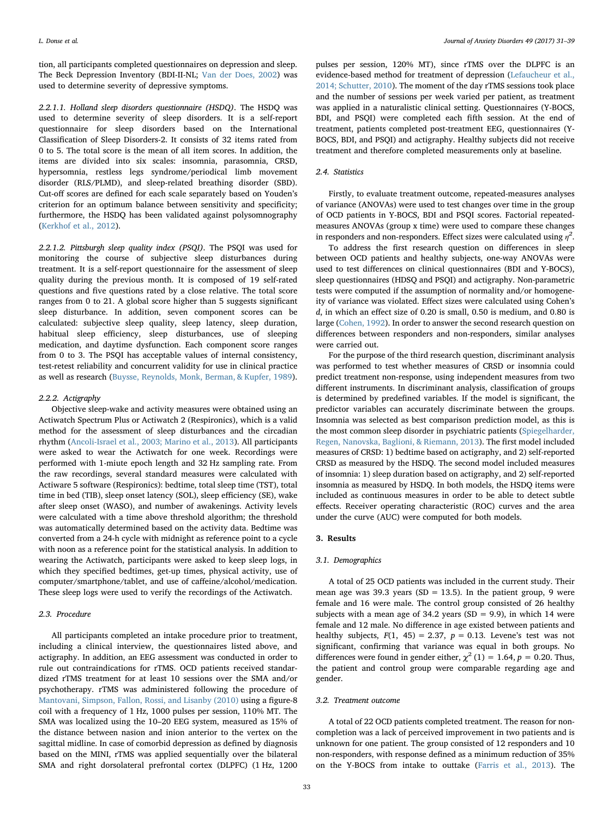tion, all participants completed questionnaires on depression and sleep. The Beck Depression Inventory (BDI-II-NL; [Van der Does, 2002\)](#page-8-15) was used to determine severity of depressive symptoms.

2.2.1.1. Holland sleep disorders questionnaire (HSDQ). The HSDQ was used to determine severity of sleep disorders. It is a self-report questionnaire for sleep disorders based on the International Classification of Sleep Disorders-2. It consists of 32 items rated from 0 to 5. The total score is the mean of all item scores. In addition, the items are divided into six scales: insomnia, parasomnia, CRSD, hypersomnia, restless legs syndrome/periodical limb movement disorder (RLS/PLMD), and sleep-related breathing disorder (SBD). Cut-off scores are defined for each scale separately based on Youden's criterion for an optimum balance between sensitivity and specificity; furthermore, the HSDQ has been validated against polysomnography ([Kerkhof et al., 2012\)](#page-7-19).

2.2.1.2. Pittsburgh sleep quality index (PSQI). The PSQI was used for monitoring the course of subjective sleep disturbances during treatment. It is a self-report questionnaire for the assessment of sleep quality during the previous month. It is composed of 19 self-rated questions and five questions rated by a close relative. The total score ranges from 0 to 21. A global score higher than 5 suggests significant sleep disturbance. In addition, seven component scores can be calculated: subjective sleep quality, sleep latency, sleep duration, habitual sleep efficiency, sleep disturbances, use of sleeping medication, and daytime dysfunction. Each component score ranges from 0 to 3. The PSQI has acceptable values of internal consistency, test-retest reliability and concurrent validity for use in clinical practice as well as research [\(Buysse, Reynolds, Monk, Berman, & Kupfer, 1989](#page-7-20)).

#### 2.2.2. Actigraphy

Objective sleep-wake and activity measures were obtained using an Actiwatch Spectrum Plus or Actiwatch 2 (Respironics), which is a valid method for the assessment of sleep disturbances and the circadian rhythm ([Ancoli-Israel et al., 2003; Marino et al., 2013](#page-7-21)). All participants were asked to wear the Actiwatch for one week. Recordings were performed with 1-miute epoch length and 32 Hz sampling rate. From the raw recordings, several standard measures were calculated with Actiware 5 software (Respironics): bedtime, total sleep time (TST), total time in bed (TIB), sleep onset latency (SOL), sleep efficiency (SE), wake after sleep onset (WASO), and number of awakenings. Activity levels were calculated with a time above threshold algorithm; the threshold was automatically determined based on the activity data. Bedtime was converted from a 24-h cycle with midnight as reference point to a cycle with noon as a reference point for the statistical analysis. In addition to wearing the Actiwatch, participants were asked to keep sleep logs, in which they specified bedtimes, get-up times, physical activity, use of computer/smartphone/tablet, and use of caffeine/alcohol/medication. These sleep logs were used to verify the recordings of the Actiwatch.

# 2.3. Procedure

All participants completed an intake procedure prior to treatment, including a clinical interview, the questionnaires listed above, and actigraphy. In addition, an EEG assessment was conducted in order to rule out contraindications for rTMS. OCD patients received standardized rTMS treatment for at least 10 sessions over the SMA and/or psychotherapy. rTMS was administered following the procedure of [Mantovani, Simpson, Fallon, Rossi, and Lisanby \(2010\)](#page-8-16) using a figure-8 coil with a frequency of 1 Hz, 1000 pulses per session, 110% MT. The SMA was localized using the 10–20 EEG system, measured as 15% of the distance between nasion and inion anterior to the vertex on the sagittal midline. In case of comorbid depression as defined by diagnosis based on the MINI, rTMS was applied sequentially over the bilateral SMA and right dorsolateral prefrontal cortex (DLPFC) (1 Hz, 1200

pulses per session, 120% MT), since rTMS over the DLPFC is an evidence-based method for treatment of depression [\(Lefaucheur](#page-8-17) et al., [2014; Schutter, 2010](#page-8-17)). The moment of the day rTMS sessions took place and the number of sessions per week varied per patient, as treatment was applied in a naturalistic clinical setting. Questionnaires (Y-BOCS, BDI, and PSQI) were completed each fifth session. At the end of treatment, patients completed post-treatment EEG, questionnaires (Y-BOCS, BDI, and PSQI) and actigraphy. Healthy subjects did not receive treatment and therefore completed measurements only at baseline.

#### 2.4. Statistics

Firstly, to evaluate treatment outcome, repeated-measures analyses of variance (ANOVAs) were used to test changes over time in the group of OCD patients in Y-BOCS, BDI and PSQI scores. Factorial repeatedmeasures ANOVAs (group x time) were used to compare these changes in responders and non-responders. Effect sizes were calculated using  $\eta^2$ .

To address the first research question on differences in sleep between OCD patients and healthy subjects, one-way ANOVAs were used to test differences on clinical questionnaires (BDI and Y-BOCS), sleep questionnaires (HDSQ and PSQI) and actigraphy. Non-parametric tests were computed if the assumption of normality and/or homogeneity of variance was violated. Effect sizes were calculated using Cohen's d, in which an effect size of 0.20 is small, 0.50 is medium, and 0.80 is large [\(Cohen, 1992\)](#page-7-22). In order to answer the second research question on differences between responders and non-responders, similar analyses were carried out.

For the purpose of the third research question, discriminant analysis was performed to test whether measures of CRSD or insomnia could predict treatment non-response, using independent measures from two different instruments. In discriminant analysis, classification of groups is determined by predefined variables. If the model is significant, the predictor variables can accurately discriminate between the groups. Insomnia was selected as best comparison prediction model, as this is the most common sleep disorder in psychiatric patients ([Spiegelharder,](#page-8-18) [Regen, Nanovska, Baglioni, & Riemann, 2013\)](#page-8-18). The first model included measures of CRSD: 1) bedtime based on actigraphy, and 2) self-reported CRSD as measured by the HSDQ. The second model included measures of insomnia: 1) sleep duration based on actigraphy, and 2) self-reported insomnia as measured by HSDQ. In both models, the HSDQ items were included as continuous measures in order to be able to detect subtle effects. Receiver operating characteristic (ROC) curves and the area under the curve (AUC) were computed for both models.

#### 3. Results

#### 3.1. Demographics

A total of 25 OCD patients was included in the current study. Their mean age was 39.3 years (SD = 13.5). In the patient group, 9 were female and 16 were male. The control group consisted of 26 healthy subjects with a mean age of 34.2 years (SD = 9.9), in which 14 were female and 12 male. No difference in age existed between patients and healthy subjects,  $F(1, 45) = 2.37$ ,  $p = 0.13$ . Levene's test was not significant, confirming that variance was equal in both groups. No differences were found in gender either,  $\chi^2$  (1) = 1.64, p = 0.20. Thus, the patient and control group were comparable regarding age and gender.

### 3.2. Treatment outcome

A total of 22 OCD patients completed treatment. The reason for noncompletion was a lack of perceived improvement in two patients and is unknown for one patient. The group consisted of 12 responders and 10 non-responders, with response defined as a minimum reduction of 35% on the Y-BOCS from intake to outtake ([Farris et al., 2013](#page-7-18)). The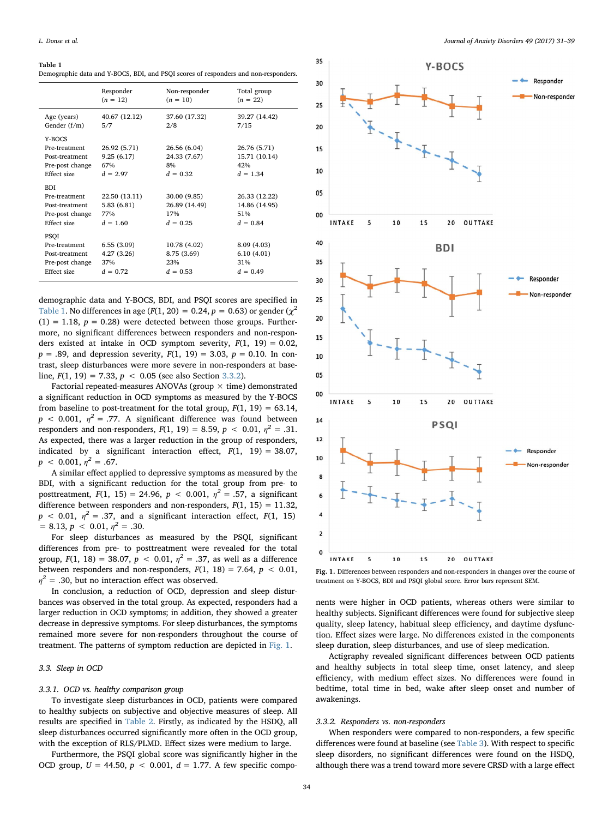#### <span id="page-3-0"></span>Table 1

Demographic data and Y-BOCS, BDI, and PSQI scores of responders and non-responders.

|                                                                                 | Responder<br>$(n = 12)$                          | Non-responder<br>$(n = 10)$                        | Total group<br>$(n = 22)$                           |
|---------------------------------------------------------------------------------|--------------------------------------------------|----------------------------------------------------|-----------------------------------------------------|
| Age (years)<br>Gender $(f/m)$                                                   | 40.67 (12.12)<br>5/7                             | 37.60 (17.32)<br>2/8                               | 39.27 (14.42)<br>7/15                               |
| Y-BOCS<br>Pre-treatment<br>Post-treatment<br>Pre-post change<br>Effect size     | 26.92 (5.71)<br>9.25(6.17)<br>67%<br>$d = 2.97$  | 26.56 (6.04)<br>24.33 (7.67)<br>8%<br>$d = 0.32$   | 26.76 (5.71)<br>15.71 (10.14)<br>42%<br>$d = 1.34$  |
| <b>BDI</b><br>Pre-treatment<br>Post-treatment<br>Pre-post change<br>Effect size | 22.50 (13.11)<br>5.83(6.81)<br>77%<br>$d = 1.60$ | 30.00 (9.85)<br>26.89 (14.49)<br>17%<br>$d = 0.25$ | 26.33 (12.22)<br>14.86 (14.95)<br>51%<br>$d = 0.84$ |
| PSOI<br>Pre-treatment<br>Post-treatment<br>Pre-post change<br>Effect size       | 6.55(3.09)<br>4.27(3.26)<br>37%<br>$d = 0.72$    | 10.78 (4.02)<br>8.75 (3.69)<br>23%<br>$d = 0.53$   | 8.09 (4.03)<br>6.10(4.01)<br>31%<br>$d = 0.49$      |

demographic data and Y-BOCS, BDI, and PSQI scores are specified in [Table 1.](#page-3-0) No differences in age ( $F(1, 20) = 0.24$ ,  $p = 0.63$ ) or gender ( $\gamma^2$  $(1) = 1.18$ ,  $p = 0.28$ ) were detected between those groups. Furthermore, no significant differences between responders and non-responders existed at intake in OCD symptom severity,  $F(1, 19) = 0.02$ ,  $p = .89$ , and depression severity,  $F(1, 19) = 3.03$ ,  $p = 0.10$ . In contrast, sleep disturbances were more severe in non-responders at baseline,  $F(1, 19) = 7.33$ ,  $p < 0.05$  (see also Section [3.3.2\)](#page-3-1).

Factorial repeated-measures ANOVAs (group  $\times$  time) demonstrated a significant reduction in OCD symptoms as measured by the Y-BOCS from baseline to post-treatment for the total group,  $F(1, 19) = 63.14$ ,  $p < 0.001$ ,  $\eta^2 = .77$ . A significant difference was found between responders and non-responders,  $F(1, 19) = 8.59$ ,  $p < 0.01$ ,  $\eta^2 = .31$ . As expected, there was a larger reduction in the group of responders, indicated by a significant interaction effect,  $F(1, 19) = 38.07$ ,  $p < 0.001, \eta^2 = .67$ .

A similar effect applied to depressive symptoms as measured by the BDI, with a significant reduction for the total group from pre- to posttreatment,  $F(1, 15) = 24.96$ ,  $p < 0.001$ ,  $\eta^2 = .57$ , a significant difference between responders and non-responders,  $F(1, 15) = 11.32$ ,  $p < 0.01$ ,  $\eta^2 = .37$ , and a significant interaction effect,  $F(1, 15)$  $= 8.13, p \lt 0.01, \eta^2 = .30.$ 

For sleep disturbances as measured by the PSQI, significant differences from pre- to posttreatment were revealed for the total group,  $F(1, 18) = 38.07$ ,  $p < 0.01$ ,  $n^2 = .37$ , as well as a difference between responders and non-responders,  $F(1, 18) = 7.64$ ,  $p < 0.01$ ,  $\eta^2$  = .30, but no interaction effect was observed.

In conclusion, a reduction of OCD, depression and sleep disturbances was observed in the total group. As expected, responders had a larger reduction in OCD symptoms; in addition, they showed a greater decrease in depressive symptoms. For sleep disturbances, the symptoms remained more severe for non-responders throughout the course of treatment. The patterns of symptom reduction are depicted in [Fig. 1.](#page-3-2)

#### 3.3. Sleep in OCD

#### 3.3.1. OCD vs. healthy comparison group

To investigate sleep disturbances in OCD, patients were compared to healthy subjects on subjective and objective measures of sleep. All results are specified in [Table 2.](#page-4-0) Firstly, as indicated by the HSDQ, all sleep disturbances occurred significantly more often in the OCD group, with the exception of RLS/PLMD. Effect sizes were medium to large.

Furthermore, the PSQI global score was significantly higher in the OCD group,  $U = 44.50$ ,  $p < 0.001$ ,  $d = 1.77$ . A few specific compo-

<span id="page-3-2"></span>

Fig. 1. Differences between responders and non-responders in changes over the course of treatment on Y-BOCS, BDI and PSQI global score. Error bars represent SEM.

nents were higher in OCD patients, whereas others were similar to healthy subjects. Significant differences were found for subjective sleep quality, sleep latency, habitual sleep efficiency, and daytime dysfunction. Effect sizes were large. No differences existed in the components sleep duration, sleep disturbances, and use of sleep medication.

Actigraphy revealed significant differences between OCD patients and healthy subjects in total sleep time, onset latency, and sleep efficiency, with medium effect sizes. No differences were found in bedtime, total time in bed, wake after sleep onset and number of awakenings.

#### <span id="page-3-1"></span>3.3.2. Responders vs. non-responders

When responders were compared to non-responders, a few specific differences were found at baseline (see [Table 3](#page-5-0)). With respect to specific sleep disorders, no significant differences were found on the HSDQ, although there was a trend toward more severe CRSD with a large effect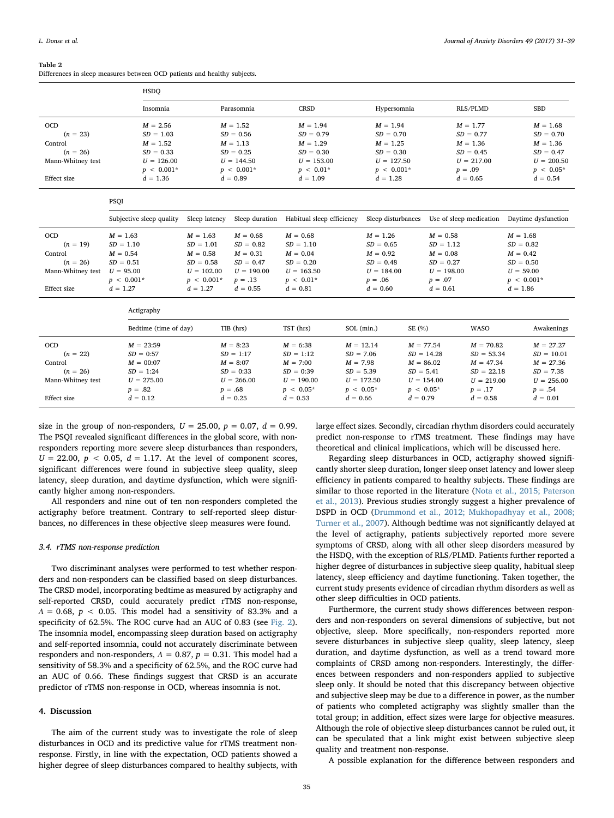$(n = 26)$ 

Mann-Whitney test  $U = 95.00$ 

 $SD = 0.51$ 

 $p < 0.001*$ 

 $SD = 0.50$ 

 $U = 59.00$  $p < 0.001*$ 

#### <span id="page-4-0"></span>Table 2

Differences in sleep measures between OCD patients and healthy subjects.

|                   | <b>HSDO</b>              |               |                |                           |                            |                         |                     |  |  |
|-------------------|--------------------------|---------------|----------------|---------------------------|----------------------------|-------------------------|---------------------|--|--|
|                   | Insomnia                 |               | Parasomnia     | CRSD                      | Hypersomnia                | RLS/PLMD                | <b>SBD</b>          |  |  |
| <b>OCD</b>        | $M = 2.56$               |               | $M = 1.52$     | $M = 1.94$                | $M = 1.94$                 | $M = 1.77$              | $M = 1.68$          |  |  |
| $(n = 23)$        | $SD = 1.03$              |               | $SD = 0.56$    | $SD = 0.79$               | $SD = 0.70$<br>$SD = 0.77$ |                         | $SD = 0.70$         |  |  |
| Control           | $M = 1.52$               |               | $M = 1.13$     | $M = 1.29$                | $M = 1.25$                 | $M = 1.36$              | $M = 1.36$          |  |  |
| $(n = 26)$        | $SD = 0.33$              |               | $SD = 0.25$    | $SD = 0.30$               | $SD = 0.30$                | $SD = 0.45$             | $SD = 0.47$         |  |  |
| Mann-Whitney test | $U = 126.00$             |               | $U = 144.50$   | $U = 153.00$              | $U = 127.50$               | $U = 217.00$            | $U = 200.50$        |  |  |
|                   | $p < 0.001*$             |               | $p < 0.001*$   | $p < 0.01*$               | $p < 0.001*$               | $p = .09$               | $p < 0.05*$         |  |  |
| Effect size       | $d = 1.36$               |               | $d = 0.89$     | $d = 1.09$                | $d = 1.28$                 | $d = 0.65$              | $d = 0.54$          |  |  |
|                   | PSQI                     |               |                |                           |                            |                         |                     |  |  |
|                   | Subjective sleep quality | Sleep latency | Sleep duration | Habitual sleep efficiency | Sleep disturbances         | Use of sleep medication | Daytime dysfunction |  |  |
| <b>OCD</b>        | $M = 1.63$               | $M = 1.63$    | $M = 0.68$     | $M = 0.68$                | $M = 1.26$                 | $M = 0.58$              | $M = 1.68$          |  |  |
| $(n = 19)$        | $SD = 1.10$              | $SD = 1.01$   | $SD = 0.82$    | $SD = 1.10$               | $SD = 0.65$                | $SD = 1.12$             | $SD = 0.82$         |  |  |
| Control           | $M = 0.54$               | $M = 0.58$    | $M = 0.31$     | $M = 0.04$                | $M = 0.92$                 | $M = 0.08$              | $M = 0.42$          |  |  |

| Effect size        | $d = 1.27$            | $d = 1.27$   | $d = 0.55$<br>$d = 0.81$ | $d = 0.60$   | $d = 0.61$   |              | $d = 1.86$   |  |  |  |  |
|--------------------|-----------------------|--------------|--------------------------|--------------|--------------|--------------|--------------|--|--|--|--|
|                    | Actigraphy            |              |                          |              |              |              |              |  |  |  |  |
|                    | Bedtime (time of day) | TIB (hrs)    | TST (hrs)                | SOL (min.)   | SE (%)       | WASO         | Awakenings   |  |  |  |  |
| <b>OCD</b>         | $M = 23:59$           | $M = 8:23$   | $M = 6:38$               | $M = 12.14$  | $M = 77.54$  | $M = 70.82$  | $M = 27.27$  |  |  |  |  |
| $(n = 22)$         | $SD = 0:57$           | $SD = 1:17$  | $SD = 1:12$              | $SD = 7.06$  | $SD = 14.28$ | $SD = 53.34$ | $SD = 10.01$ |  |  |  |  |
| Control            | $M = 00:07$           | $M = 8:07$   | $M = 7:00$               | $M = 7.98$   | $M = 86.02$  | $M = 47.34$  | $M = 27.36$  |  |  |  |  |
| $(n = 26)$         | $SD = 1:24$           | $SD = 0:33$  | $SD = 0:39$              | $SD = 5.39$  | $SD = 5.41$  | $SD = 22.18$ | $SD = 7.38$  |  |  |  |  |
| Mann-Whitney test  | $U = 275.00$          | $U = 266.00$ | $U = 190.00$             | $U = 172.50$ | $U = 154.00$ | $U = 219.00$ | $U = 256.00$ |  |  |  |  |
|                    | $p = .82$             | $p = .68$    | $p < 0.05^*$             | $p < 0.05*$  | $p < 0.05*$  | $p = .17$    | $p = .54$    |  |  |  |  |
| <b>Effect</b> size | $d = 0.12$            | $d = 0.25$   | $d = 0.53$               | $d = 0.66$   | $d = 0.79$   | $d = 0.58$   | $d = 0.01$   |  |  |  |  |

 $SD = 0.20$ 

 $U = 163.50$  $p < 0.01*$ 

 $SD = 0.48$ 

 $U = 184.00$  $p = .06$ 

size in the group of non-responders,  $U = 25.00$ ,  $p = 0.07$ ,  $d = 0.99$ . The PSQI revealed significant differences in the global score, with nonresponders reporting more severe sleep disturbances than responders,  $U = 22.00$ ,  $p < 0.05$ ,  $d = 1.17$ . At the level of component scores, significant differences were found in subjective sleep quality, sleep latency, sleep duration, and daytime dysfunction, which were significantly higher among non-responders.

 $SD = 0.58$ 

 $U = 102.00$  $p < 0.001*$   $SD = 0.47$ 

 $U = 190.00$  $p = .13$ 

All responders and nine out of ten non-responders completed the actigraphy before treatment. Contrary to self-reported sleep disturbances, no differences in these objective sleep measures were found.

#### 3.4. rTMS non-response prediction

Two discriminant analyses were performed to test whether responders and non-responders can be classified based on sleep disturbances. The CRSD model, incorporating bedtime as measured by actigraphy and self-reported CRSD, could accurately predict rTMS non-response,  $\Lambda = 0.68$ ,  $p < 0.05$ . This model had a sensitivity of 83.3% and a specificity of 62.5%. The ROC curve had an AUC of 0.83 (see [Fig. 2](#page-5-1)). The insomnia model, encompassing sleep duration based on actigraphy and self-reported insomnia, could not accurately discriminate between responders and non-responders,  $\Lambda = 0.87$ ,  $p = 0.31$ . This model had a sensitivity of 58.3% and a specificity of 62.5%, and the ROC curve had an AUC of 0.66. These findings suggest that CRSD is an accurate predictor of rTMS non-response in OCD, whereas insomnia is not.

#### 4. Discussion

The aim of the current study was to investigate the role of sleep disturbances in OCD and its predictive value for rTMS treatment nonresponse. Firstly, in line with the expectation, OCD patients showed a higher degree of sleep disturbances compared to healthy subjects, with

large effect sizes. Secondly, circadian rhythm disorders could accurately predict non-response to rTMS treatment. These findings may have theoretical and clinical implications, which will be discussed here.

 $SD = 0.27$ 

 $U = 198.00$  $p=\, .07$ 

Regarding sleep disturbances in OCD, actigraphy showed significantly shorter sleep duration, longer sleep onset latency and lower sleep efficiency in patients compared to healthy subjects. These findings are similar to those reported in the literature [\(Nota et al., 2015; Paterson](#page-8-5) [et al., 2013\)](#page-8-5). Previous studies strongly suggest a higher prevalence of DSPD in OCD [\(Drummond et al., 2012; Mukhopadhyay et al., 2008;](#page-7-4) [Turner et al., 2007\)](#page-7-4). Although bedtime was not significantly delayed at the level of actigraphy, patients subjectively reported more severe symptoms of CRSD, along with all other sleep disorders measured by the HSDQ, with the exception of RLS/PLMD. Patients further reported a higher degree of disturbances in subjective sleep quality, habitual sleep latency, sleep efficiency and daytime functioning. Taken together, the current study presents evidence of circadian rhythm disorders as well as other sleep difficulties in OCD patients.

Furthermore, the current study shows differences between responders and non-responders on several dimensions of subjective, but not objective, sleep. More specifically, non-responders reported more severe disturbances in subjective sleep quality, sleep latency, sleep duration, and daytime dysfunction, as well as a trend toward more complaints of CRSD among non-responders. Interestingly, the differences between responders and non-responders applied to subjective sleep only. It should be noted that this discrepancy between objective and subjective sleep may be due to a difference in power, as the number of patients who completed actigraphy was slightly smaller than the total group; in addition, effect sizes were large for objective measures. Although the role of objective sleep disturbances cannot be ruled out, it can be speculated that a link might exist between subjective sleep quality and treatment non-response.

A possible explanation for the difference between responders and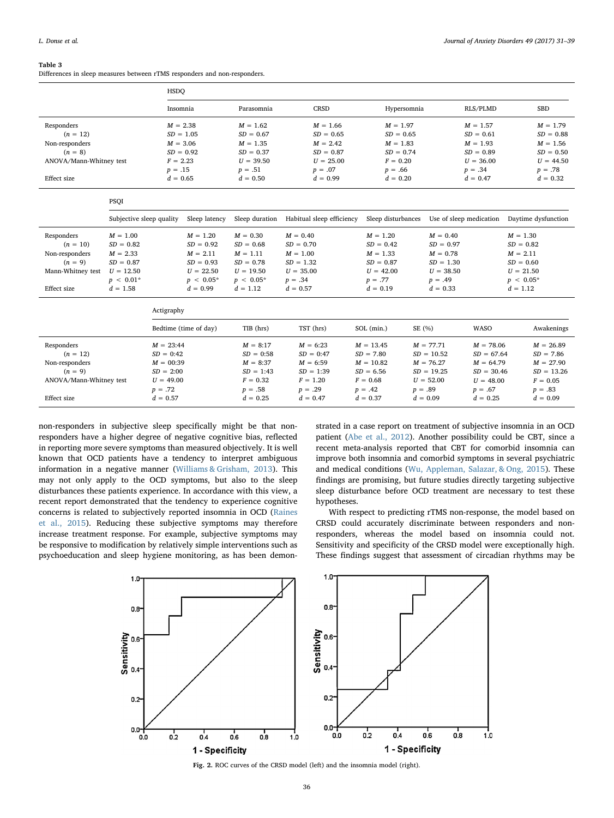#### <span id="page-5-0"></span>Table 3

Differences in sleep measures between rTMS responders and non-responders.

|                         | <b>HSDO</b> |             |             |             |             |             |  |  |
|-------------------------|-------------|-------------|-------------|-------------|-------------|-------------|--|--|
|                         | Insomnia    | Parasomnia  | <b>CRSD</b> | Hypersomnia | RLS/PLMD    | <b>SBD</b>  |  |  |
| Responders              | $M = 2.38$  | $M = 1.62$  | $M = 1.66$  | $M = 1.97$  | $M = 1.57$  | $M = 1.79$  |  |  |
| $(n = 12)$              | $SD = 1.05$ | $SD = 0.67$ | $SD = 0.65$ | $SD = 0.65$ | $SD = 0.61$ | $SD = 0.88$ |  |  |
| Non-responders          | $M = 3.06$  | $M = 1.35$  | $M = 2.42$  | $M = 1.83$  | $M = 1.93$  | $M = 1.56$  |  |  |
| $(n = 8)$               | $SD = 0.92$ | $SD = 0.37$ | $SD = 0.87$ | $SD = 0.74$ | $SD = 0.89$ | $SD = 0.50$ |  |  |
| ANOVA/Mann-Whitney test | $F = 2.23$  | $U = 39.50$ | $U = 25.00$ | $F = 0.20$  | $U = 36.00$ | $U = 44.50$ |  |  |
|                         | $p = .15$   | $p = .51$   | $p = .07$   | $p = .66$   | $p = .34$   | $p=.78$     |  |  |
| Effect size             | $d = 0.65$  | $d = 0.50$  | $d = 0.99$  | $d = 0.20$  | $d = 0.47$  | $d = 0.32$  |  |  |
|                         |             |             |             |             |             |             |  |  |
| PSQI                    |             |             |             |             |             |             |  |  |

|                                                                                             | Subjective sleep quality                                                                           |                                                                                      | Sleep latency                                                                                       | Sleep duration                                                                                     | Habitual sleep efficiency                                                                        | Sleep disturbances                                                                               |                                                                                                  | Use of sleep medication                                                                |                                                                                                           | Daytime dysfunction                                                                  |  |
|---------------------------------------------------------------------------------------------|----------------------------------------------------------------------------------------------------|--------------------------------------------------------------------------------------|-----------------------------------------------------------------------------------------------------|----------------------------------------------------------------------------------------------------|--------------------------------------------------------------------------------------------------|--------------------------------------------------------------------------------------------------|--------------------------------------------------------------------------------------------------|----------------------------------------------------------------------------------------|-----------------------------------------------------------------------------------------------------------|--------------------------------------------------------------------------------------|--|
| Responders<br>$(n = 10)$<br>Non-responders<br>$(n = 9)$<br>Mann-Whitney test<br>Effect size | $M = 1.00$<br>$SD = 0.82$<br>$M = 2.33$<br>$SD = 0.87$<br>$U = 12.50$<br>$p < 0.01*$<br>$d = 1.58$ |                                                                                      | $M = 1.20$<br>$SD = 0.92$<br>$M = 2.11$<br>$SD = 0.93$<br>$U = 22.50$<br>$p < 0.05^*$<br>$d = 0.99$ | $M = 0.30$<br>$SD = 0.68$<br>$M = 1.11$<br>$SD = 0.78$<br>$U = 19.50$<br>$p < 0.05*$<br>$d = 1.12$ | $M = 0.40$<br>$SD = 0.70$<br>$M = 1.00$<br>$SD = 1.32$<br>$U = 35.00$<br>$p = .34$<br>$d = 0.57$ | $M = 1.20$<br>$SD = 0.42$<br>$M = 1.33$<br>$SD = 0.87$<br>$U = 42.00$<br>$p = .77$<br>$d = 0.19$ | $M = 0.40$<br>$SD = 0.97$<br>$M = 0.78$<br>$SD = 1.30$<br>$U = 38.50$<br>$p = .49$<br>$d = 0.33$ |                                                                                        | $M = 1.30$<br>$SD = 0.82$<br>$M = 2.11$<br>$SD = 0.60$<br>$U = 21.50$<br>$p \, < \, 0.05^*$<br>$d = 1.12$ |                                                                                      |  |
|                                                                                             |                                                                                                    | Actigraphy                                                                           |                                                                                                     |                                                                                                    |                                                                                                  |                                                                                                  |                                                                                                  |                                                                                        |                                                                                                           |                                                                                      |  |
|                                                                                             |                                                                                                    |                                                                                      | Bedtime (time of day)                                                                               | TIB (hrs)                                                                                          | TST (hrs)                                                                                        | SOL (min.)                                                                                       | SE (%)                                                                                           | WASO                                                                                   |                                                                                                           | Awakenings                                                                           |  |
| Responders<br>$(n = 12)$<br>Non-responders<br>$(n = 9)$<br>ANOVA/Mann-Whitney test          |                                                                                                    | $M = 23:44$<br>$SD = 0:42$<br>$M = 00:39$<br>$SD = 2:00$<br>$U = 49.00$<br>$p = .72$ |                                                                                                     | $M = 8:17$<br>$SD = 0:58$<br>$M = 8:37$<br>$SD = 1:43$<br>$F = 0.32$<br>$p=.58$                    | $M = 6:23$<br>$SD = 0:47$<br>$M = 6:59$<br>$SD = 1:39$<br>$F = 1.20$<br>$p = .29$                | $M = 13.45$<br>$SD = 7.80$<br>$M = 10.82$<br>$SD = 6.56$<br>$F = 0.68$<br>$p = .42$              | $M = 77.71$<br>$SD = 10.52$<br>$M = 76.27$<br>$SD = 19.25$<br>$U = 52.00$<br>$p = .89$           | $M = 78.06$<br>$SD = 67.64$<br>$M = 64.79$<br>$SD = 30.46$<br>$U = 48.00$<br>$p = .67$ |                                                                                                           | $M = 26.89$<br>$SD = 7.86$<br>$M = 27.90$<br>$SD = 13.26$<br>$F = 0.05$<br>$p = .83$ |  |
| <b>Effect</b> size                                                                          |                                                                                                    | $d = 0.57$                                                                           |                                                                                                     | $d = 0.25$                                                                                         | $d = 0.47$                                                                                       | $d = 0.37$                                                                                       | $d = 0.09$                                                                                       | $d = 0.25$                                                                             |                                                                                                           | $d = 0.09$                                                                           |  |

non-responders in subjective sleep specifically might be that nonresponders have a higher degree of negative cognitive bias, reflected in reporting more severe symptoms than measured objectively. It is well known that OCD patients have a tendency to interpret ambiguous information in a negative manner ([Williams & Grisham, 2013](#page-8-19)). This may not only apply to the OCD symptoms, but also to the sleep disturbances these patients experience. In accordance with this view, a recent report demonstrated that the tendency to experience cognitive concerns is related to subjectively reported insomnia in OCD [\(Raines](#page-8-20) [et al., 2015](#page-8-20)). Reducing these subjective symptoms may therefore increase treatment response. For example, subjective symptoms may be responsive to modification by relatively simple interventions such as psychoeducation and sleep hygiene monitoring, as has been demonstrated in a case report on treatment of subjective insomnia in an OCD patient ([Abe et al., 2012](#page-7-13)). Another possibility could be CBT, since a recent meta-analysis reported that CBT for comorbid insomnia can improve both insomnia and comorbid symptoms in several psychiatric and medical conditions [\(Wu, Appleman, Salazar, & Ong, 2015](#page-8-21)). These findings are promising, but future studies directly targeting subjective sleep disturbance before OCD treatment are necessary to test these hypotheses.

With respect to predicting rTMS non-response, the model based on CRSD could accurately discriminate between responders and nonresponders, whereas the model based on insomnia could not. Sensitivity and specificity of the CRSD model were exceptionally high. These findings suggest that assessment of circadian rhythms may be

<span id="page-5-1"></span>

Fig. 2. ROC curves of the CRSD model (left) and the insomnia model (right).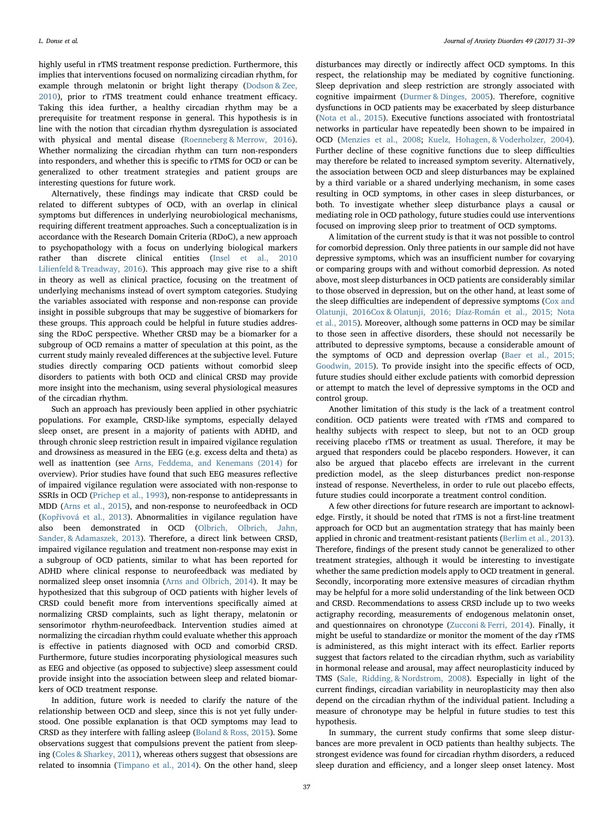highly useful in rTMS treatment response prediction. Furthermore, this implies that interventions focused on normalizing circadian rhythm, for example through melatonin or bright light therapy ([Dodson & Zee,](#page-7-23) [2010\)](#page-7-23), prior to rTMS treatment could enhance treatment efficacy. Taking this idea further, a healthy circadian rhythm may be a prerequisite for treatment response in general. This hypothesis is in line with the notion that circadian rhythm dysregulation is associated with physical and mental disease ([Roenneberg & Merrow, 2016](#page-8-22)). Whether normalizing the circadian rhythm can turn non-responders into responders, and whether this is specific to rTMS for OCD or can be generalized to other treatment strategies and patient groups are interesting questions for future work.

Alternatively, these findings may indicate that CRSD could be related to different subtypes of OCD, with an overlap in clinical symptoms but differences in underlying neurobiological mechanisms, requiring different treatment approaches. Such a conceptualization is in accordance with the Research Domain Criteria (RDoC), a new approach to psychopathology with a focus on underlying biological markers rather than discrete clinical entities ([Insel et al., 2010](#page-7-24) [Lilienfeld & Treadway, 2016](#page-8-23)). This approach may give rise to a shift in theory as well as clinical practice, focusing on the treatment of underlying mechanisms instead of overt symptom categories. Studying the variables associated with response and non-response can provide insight in possible subgroups that may be suggestive of biomarkers for these groups. This approach could be helpful in future studies addressing the RDoC perspective. Whether CRSD may be a biomarker for a subgroup of OCD remains a matter of speculation at this point, as the current study mainly revealed differences at the subjective level. Future studies directly comparing OCD patients without comorbid sleep disorders to patients with both OCD and clinical CRSD may provide more insight into the mechanism, using several physiological measures of the circadian rhythm.

Such an approach has previously been applied in other psychiatric populations. For example, CRSD-like symptoms, especially delayed sleep onset, are present in a majority of patients with ADHD, and through chronic sleep restriction result in impaired vigilance regulation and drowsiness as measured in the EEG (e.g. excess delta and theta) as well as inattention (see [Arns, Feddema, and Kenemans \(2014\)](#page-7-25) for overview). Prior studies have found that such EEG measures reflective of impaired vigilance regulation were associated with non-response to SSRIs in OCD [\(Prichep et al., 1993](#page-8-24)), non-response to antidepressants in MDD ([Arns et al., 2015\)](#page-7-26), and non-response to neurofeedback in OCD (Kopř[ivová et al., 2013\)](#page-7-27). Abnormalities in vigilance regulation have also been demonstrated in OCD [\(Olbrich, Olbrich, Jahn,](#page-8-25) [Sander, & Adamaszek, 2013](#page-8-25)). Therefore, a direct link between CRSD, impaired vigilance regulation and treatment non-response may exist in a subgroup of OCD patients, similar to what has been reported for ADHD where clinical response to neurofeedback was mediated by normalized sleep onset insomnia ([Arns and Olbrich, 2014\)](#page-7-28). It may be hypothesized that this subgroup of OCD patients with higher levels of CRSD could benefit more from interventions specifically aimed at normalizing CRSD complaints, such as light therapy, melatonin or sensorimotor rhythm-neurofeedback. Intervention studies aimed at normalizing the circadian rhythm could evaluate whether this approach is effective in patients diagnosed with OCD and comorbid CRSD. Furthermore, future studies incorporating physiological measures such as EEG and objective (as opposed to subjective) sleep assessment could provide insight into the association between sleep and related biomarkers of OCD treatment response.

In addition, future work is needed to clarify the nature of the relationship between OCD and sleep, since this is not yet fully understood. One possible explanation is that OCD symptoms may lead to CRSD as they interfere with falling asleep [\(Boland & Ross, 2015\)](#page-7-29). Some observations suggest that compulsions prevent the patient from sleeping ([Coles & Sharkey, 2011](#page-7-14)), whereas others suggest that obsessions are related to insomnia ([Timpano et al., 2014\)](#page-8-10). On the other hand, sleep

disturbances may directly or indirectly affect OCD symptoms. In this respect, the relationship may be mediated by cognitive functioning. Sleep deprivation and sleep restriction are strongly associated with cognitive impairment [\(Durmer & Dinges, 2005](#page-7-30)). Therefore, cognitive dysfunctions in OCD patients may be exacerbated by sleep disturbance ([Nota et al., 2015\)](#page-8-5). Executive functions associated with frontostriatal networks in particular have repeatedly been shown to be impaired in OCD ([Menzies et al., 2008;](#page-8-26) [Kuelz, Hohagen, & Voderholzer, 2004](#page-7-31)). Further decline of these cognitive functions due to sleep difficulties may therefore be related to increased symptom severity. Alternatively, the association between OCD and sleep disturbances may be explained by a third variable or a shared underlying mechanism, in some cases resulting in OCD symptoms, in other cases in sleep disturbances, or both. To investigate whether sleep disturbance plays a causal or mediating role in OCD pathology, future studies could use interventions focused on improving sleep prior to treatment of OCD symptoms.

A limitation of the current study is that it was not possible to control for comorbid depression. Only three patients in our sample did not have depressive symptoms, which was an insufficient number for covarying or comparing groups with and without comorbid depression. As noted above, most sleep disturbances in OCD patients are considerably similar to those observed in depression, but on the other hand, at least some of the sleep difficulties are independent of depressive symptoms ([Cox and](#page-7-11) [Olatunji, 2016Cox & Olatunji, 2016; Díaz-Román et al., 2015; Nota](#page-7-11) [et al., 2015\)](#page-7-11). Moreover, although some patterns in OCD may be similar to those seen in affective disorders, these should not necessarily be attributed to depressive symptoms, because a considerable amount of the symptoms of OCD and depression overlap ([Baer et al., 2015;](#page-7-32) [Goodwin, 2015](#page-7-32)). To provide insight into the specific effects of OCD, future studies should either exclude patients with comorbid depression or attempt to match the level of depressive symptoms in the OCD and control group.

Another limitation of this study is the lack of a treatment control condition. OCD patients were treated with rTMS and compared to healthy subjects with respect to sleep, but not to an OCD group receiving placebo rTMS or treatment as usual. Therefore, it may be argued that responders could be placebo responders. However, it can also be argued that placebo effects are irrelevant in the current prediction model, as the sleep disturbances predict non-response instead of response. Nevertheless, in order to rule out placebo effects, future studies could incorporate a treatment control condition.

A few other directions for future research are important to acknowledge. Firstly, it should be noted that rTMS is not a first-line treatment approach for OCD but an augmentation strategy that has mainly been applied in chronic and treatment-resistant patients ([Berlim et al., 2013](#page-7-2)). Therefore, findings of the present study cannot be generalized to other treatment strategies, although it would be interesting to investigate whether the same prediction models apply to OCD treatment in general. Secondly, incorporating more extensive measures of circadian rhythm may be helpful for a more solid understanding of the link between OCD and CRSD. Recommendations to assess CRSD include up to two weeks actigraphy recording, measurements of endogenous melatonin onset, and questionnaires on chronotype (Zucconi [& Ferri, 2014\)](#page-8-27). Finally, it might be useful to standardize or monitor the moment of the day rTMS is administered, as this might interact with its effect. Earlier reports suggest that factors related to the circadian rhythm, such as variability in hormonal release and arousal, may affect neuroplasticity induced by TMS [\(Sale, Ridding, & Nordstrom, 2008\)](#page-8-28). Especially in light of the current findings, circadian variability in neuroplasticity may then also depend on the circadian rhythm of the individual patient. Including a measure of chronotype may be helpful in future studies to test this hypothesis.

In summary, the current study confirms that some sleep disturbances are more prevalent in OCD patients than healthy subjects. The strongest evidence was found for circadian rhythm disorders, a reduced sleep duration and efficiency, and a longer sleep onset latency. Most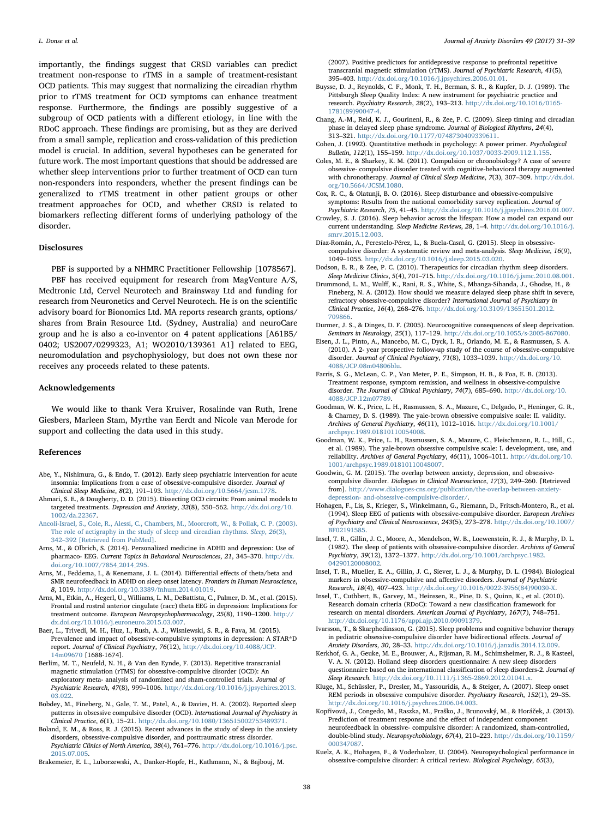importantly, the findings suggest that CRSD variables can predict treatment non-response to rTMS in a sample of treatment-resistant OCD patients. This may suggest that normalizing the circadian rhythm prior to rTMS treatment for OCD symptoms can enhance treatment response. Furthermore, the findings are possibly suggestive of a subgroup of OCD patients with a different etiology, in line with the RDoC approach. These findings are promising, but as they are derived from a small sample, replication and cross-validation of this prediction model is crucial. In addition, several hypotheses can be generated for future work. The most important questions that should be addressed are whether sleep interventions prior to further treatment of OCD can turn non-responders into responders, whether the present findings can be generalized to rTMS treatment in other patient groups or other treatment approaches for OCD, and whether CRSD is related to biomarkers reflecting different forms of underlying pathology of the disorder.

#### **Disclosures**

PBF is supported by a NHMRC Practitioner Fellowship [1078567]. PBF has received equipment for research from MagVenture A/S, Medtronic Ltd, Cervel Neurotech and Brainsway Ltd and funding for research from Neuronetics and Cervel Neurotech. He is on the scientific advisory board for Bionomics Ltd. MA reports research grants, options/ shares from Brain Resource Ltd. (Sydney, Australia) and neuroCare group and he is also a co-inventor on 4 patent applications [A61B5/ 0402; US2007/0299323, A1; WO2010/139361 A1] related to EEG, neuromodulation and psychophysiology, but does not own these nor receives any proceeds related to these patents.

### Acknowledgements

We would like to thank Vera Kruiver, Rosalinde van Ruth, Irene Giesbers, Marleen Stam, Myrthe van Eerdt and Nicole van Merode for support and collecting the data used in this study.

#### References

- <span id="page-7-13"></span>Abe, Y., Nishimura, G., & Endo, T. (2012). Early sleep psychiatric intervention for acute insomnia: Implications from a case of obsessive-compulsive disorder. Journal of Clinical Sleep Medicine, 8(2), 191–193. [http://dx.doi.org/10.5664/jcsm.1778.](http://dx.doi.org/10.5664/jcsm.1778)
- <span id="page-7-1"></span>Ahmari, S. E., & Dougherty, D. D. (2015). Dissecting OCD circuits: From animal models to targeted treatments. Depression and Anxiety, 32(8), 550–562. [http://dx.doi.org/10.](http://dx.doi.org/10.1002/da.22367) [1002/da.22367.](http://dx.doi.org/10.1002/da.22367)
- <span id="page-7-21"></span>[Ancoli-Israel, S., Cole, R., Alessi, C., Chambers, M., Moorcroft, W., & Pollak, C. P. \(2003\).](http://refhub.elsevier.com/S0887-6185(16)30152-9/sbref0015) [The role of actigraphy in the study of sleep and circadian rhythms.](http://refhub.elsevier.com/S0887-6185(16)30152-9/sbref0015) Sleep, 26(3), 342–[392 \[Retrieved from PubMed\].](http://refhub.elsevier.com/S0887-6185(16)30152-9/sbref0015)
- <span id="page-7-28"></span>Arns, M., & Olbrich, S. (2014). Personalized medicine in ADHD and depression: Use of pharmaco- EEG. Current Topics in Behavioral Neurosciences, 21, 345–370. [http://dx.](http://dx.doi.org/10.1007/7854_2014_295) [doi.org/10.1007/7854\\_2014\\_295.](http://dx.doi.org/10.1007/7854_2014_295)
- <span id="page-7-25"></span>Arns, M., Feddema, I., & Kenemans, J. L. (2014). Differential effects of theta/beta and SMR neurofeedback in ADHD on sleep onset latency. Frontiers in Human Neuroscience, 8, 1019. <http://dx.doi.org/10.3389/fnhum.2014.01019>.
- <span id="page-7-26"></span>Arns, M., Etkin, A., Hegerl, U., Williams, L. M., DeBattista, C., Palmer, D. M., et al. (2015). Frontal and rostral anterior cingulate (racc) theta EEG in depression: Implications for treatment outcome. European Neuropsychopharmacology, 25(8), 1190–1200. [http://](http://dx.doi.org/10.1016/j.euroneuro.2015.03.007) [dx.doi.org/10.1016/j.euroneuro.2015.03.007](http://dx.doi.org/10.1016/j.euroneuro.2015.03.007).
- <span id="page-7-32"></span>Baer, L., Trivedi, M. H., Huz, I., Rush, A. J., Wisniewski, S. R., & Fava, M. (2015). Prevalence and impact of obsessive-compulsive symptoms in depression: A STAR\*D report. Journal of Clinical Psychiatry, 76(12), [http://dx.doi.org/10.4088/JCP.](http://dx.doi.org/10.4088/JCP.14m09670) 14m09670 [\[1688-1674\]](http://dx.doi.org/10.4088/JCP.14m09670).
- <span id="page-7-2"></span>Berlim, M. T., Neufeld, N. H., & Van den Eynde, F. (2013). Repetitive transcranial magnetic stimulation (rTMS) for obsessive-compulsive disorder (OCD): An exploratory meta- analysis of randomized and sham-controlled trials. Journal of Psychiatric Research, 47(8), 999–1006. [http://dx.doi.org/10.1016/j.jpsychires.2013.](http://dx.doi.org/10.1016/j.jpsychires.2013.03.022) [03.022](http://dx.doi.org/10.1016/j.jpsychires.2013.03.022).
- <span id="page-7-12"></span>Bobdey, M., Fineberg, N., Gale, T. M., Patel, A., & Davies, H. A. (2002). Reported sleep patterns in obsessive compulsive disorder (OCD). International Journal of Psychiatry in Clinical Practice, 6(1), 15–21. [http://dx.doi.org/10.1080/136515002753489371.](http://dx.doi.org/10.1080/136515002753489371)
- <span id="page-7-29"></span>Boland, E. M., & Ross, R. J. (2015). Recent advances in the study of sleep in the anxiety disorders, obsessive-compulsive disorder, and posttraumatic stress disorder. Psychiatric Clinics of North America, 38(4), 761–776. [http://dx.doi.org/10.1016/j.psc.](http://dx.doi.org/10.1016/j.psc.2015.07.005) [2015.07.005](http://dx.doi.org/10.1016/j.psc.2015.07.005).

<span id="page-7-3"></span>Brakemeier, E. L., Luborzewski, A., Danker-Hopfe, H., Kathmann, N., & Bajbouj, M.

(2007). Positive predictors for antidepressive response to prefrontal repetitive transcranial magnetic stimulation (rTMS). Journal of Psychiatric Research, 41(5), 395–403. [http://dx.doi.org/10.1016/j.jpsychires.2006.01.01.](http://dx.doi.org/10.1016/j.jpsychires.2006.01.01)

- <span id="page-7-20"></span>Buysse, D. J., Reynolds, C. F., Monk, T. H., Berman, S. R., & Kupfer, D. J. (1989). The Pittsburgh Sleep Quality Index: A new instrument for psychiatric practice and research. Psychiatry Research, 28(2), 193–213. [http://dx.doi.org/10.1016/0165-](http://dx.doi.org/10.1016/0165-1781(89)90047-4) [1781\(89\)90047-4](http://dx.doi.org/10.1016/0165-1781(89)90047-4).
- <span id="page-7-5"></span>Chang, A.-M., Reid, K. J., Gourineni, R., & Zee, P. C. (2009). Sleep timing and circadian phase in delayed sleep phase syndrome. Journal of Biological Rhythms, 24(4), 313–321. [http://dx.doi.org/10.1177/0748730409339611.](http://dx.doi.org/10.1177/0748730409339611)
- <span id="page-7-22"></span>Cohen, J. (1992). Quantitative methods in psychology: A power primer. Psychological Bulletin, 112(1), 155–159. [http://dx.doi.org/10.1037/0033-2909.112.1.155.](http://dx.doi.org/10.1037/0033-2909.112.1.155)
- <span id="page-7-14"></span>Coles, M. E., & Sharkey, K. M. (2011). Compulsion or chronobiology? A case of severe obsessive- compulsive disorder treated with cognitive-behavioral therapy augmented with chronotherapy. Journal of Clinical Sleep Medicine, 7(3), 307–309. [http://dx.doi.](http://dx.doi.org/10.5664/JCSM.1080) [org/10.5664/JCSM.1080.](http://dx.doi.org/10.5664/JCSM.1080)
- <span id="page-7-10"></span>Cox, R. C., & Olatunji, B. O. (2016). Sleep disturbance and obsessive-compulsive symptoms: Results from the national comorbidity survey replication. Journal of Psychiatric Research, 75, 41–45. [http://dx.doi.org/10.1016/j.jpsychires.2016.01.007.](http://dx.doi.org/10.1016/j.jpsychires.2016.01.007)
- <span id="page-7-16"></span>Crowley, S. J. (2016). Sleep behavior across the lifespan: How a model can expand our current understanding. Sleep Medicine Reviews, 28, 1–4. [http://dx.doi.org/10.1016/j.](http://dx.doi.org/10.1016/j.smrv.2015.12.003) [smrv.2015.12.003](http://dx.doi.org/10.1016/j.smrv.2015.12.003).
- <span id="page-7-11"></span>Díaz-Román, A., Perestelo-Pérez, L., & Buela-Casal, G. (2015). Sleep in obsessivecompulsive disorder: A systematic review and meta-analysis. Sleep Medicine, 16(9), 1049–1055. [http://dx.doi.org/10.1016/j.sleep.2015.03.020.](http://dx.doi.org/10.1016/j.sleep.2015.03.020)
- <span id="page-7-23"></span>Dodson, E. R., & Zee, P. C. (2010). Therapeutics for circadian rhythm sleep disorders. Sleep Medicine Clinics, 5(4), 701–715. [http://dx.doi.org/10.1016/j.jsmc.2010.08.001.](http://dx.doi.org/10.1016/j.jsmc.2010.08.001)
- <span id="page-7-4"></span>Drummond, L. M., Wulff, K., Rani, R. S., White, S., Mbanga-Sibanda, J., Ghodse, H., & Fineberg, N. A. (2012). How should we measure delayed sleep phase shift in severe, refractory obsessive-compulsive disorder? International Journal of Psychiatry in Clinical Practice, 16(4), 268–276. [http://dx.doi.org/10.3109/13651501.2012.](http://dx.doi.org/10.3109/13651501.2012.709866) [709866](http://dx.doi.org/10.3109/13651501.2012.709866).
- <span id="page-7-30"></span>Durmer, J. S., & Dinges, D. F. (2005). Neurocognitive consequences of sleep deprivation. Seminars in Neurology, 25(1), 117–129. [http://dx.doi.org/10.1055/s-2005-867080.](http://dx.doi.org/10.1055/s-2005-867080)
- <span id="page-7-0"></span>Eisen, J. L., Pinto, A., Mancebo, M. C., Dyck, I. R., Orlando, M. E., & Rasmussen, S. A. (2010). A 2- year prospective follow-up study of the course of obsessive-compulsive disorder. Journal of Clinical Psychiatry, 71(8), 1033–1039. [http://dx.doi.org/10.](http://dx.doi.org/10.4088/JCP.08m04806blu) [4088/JCP.08m04806blu](http://dx.doi.org/10.4088/JCP.08m04806blu).
- <span id="page-7-18"></span>Farris, S. G., McLean, C. P., Van Meter, P. E., Simpson, H. B., & Foa, E. B. (2013). Treatment response, symptom remission, and wellness in obsessive-compulsive disorder. The Journal of Clinical Psychiatry, 74(7), 685–690. [http://dx.doi.org/10.](http://dx.doi.org/10.4088/JCP.12m07789) [4088/JCP.12m07789](http://dx.doi.org/10.4088/JCP.12m07789).
- Goodman, W. K., Price, L. H., Rasmussen, S. A., Mazure, C., Delgado, P., Heninger, G. R., & Charney, D. S. (1989). The yale-brown obsessive compulsive scale: II. validity. Archives of General Psychiatry, 46(11), 1012–1016. [http://dx.doi.org/10.1001/](http://dx.doi.org/10.1001/archpsyc.1989.01810110054008) [archpsyc.1989.01810110054008.](http://dx.doi.org/10.1001/archpsyc.1989.01810110054008)
- <span id="page-7-17"></span>Goodman, W. K., Price, L. H., Rasmussen, S. A., Mazure, C., Fleischmann, R. L., Hill, C., et al. (1989). The yale-brown obsessive compulsive scale: I. development, use, and reliability. Archives of General Psychiatry, 46(11), 1006–1011. [http://dx.doi.org/10.](http://dx.doi.org/10.1001/archpsyc.1989.01810110048007) [1001/archpsyc.1989.01810110048007](http://dx.doi.org/10.1001/archpsyc.1989.01810110048007).
- Goodwin, G. M. (2015). The overlap between anxiety, depression, and obsessivecompulsive disorder. Dialogues in Clinical Neuroscience, 17(3), 249–260. [Retrieved from]. [http://www.dialogues-cns.org/publication/the-overlap-between-anxiety](http://www.dialogues-cns.org/publication/the-overlap-between-anxiety-depression-%20and-obsessive-compulsive-disorder/)[depression- and-obsessive-compulsive-disorder/.](http://www.dialogues-cns.org/publication/the-overlap-between-anxiety-depression-%20and-obsessive-compulsive-disorder/)
- <span id="page-7-6"></span>Hohagen, F., Lis, S., Krieger, S., Winkelmann, G., Riemann, D., Fritsch-Montero, R., et al. (1994). Sleep EEG of patients with obsessive-compulsive disorder. European Archives of Psychiatry and Clinical Neuroscience, 243(5), 273–278. [http://dx.doi.org/10.1007/](http://dx.doi.org/10.1007/BF02191585) [BF02191585.](http://dx.doi.org/10.1007/BF02191585)
- <span id="page-7-8"></span>Insel, T. R., Gillin, J. C., Moore, A., Mendelson, W. B., Loewenstein, R. J., & Murphy, D. L. (1982). The sleep of patients with obsessive-compulsive disorder. Archives of General Psychiatry, 39(12), 1372–1377. [http://dx.doi.org/10.1001/archpsyc.1982.](http://dx.doi.org/10.1001/archpsyc.1982.04290120008002) [04290120008002.](http://dx.doi.org/10.1001/archpsyc.1982.04290120008002)
- <span id="page-7-9"></span>Insel, T. R., Mueller, E. A., Gillin, J. C., Siever, L. J., & Murphy, D. L. (1984). Biological markers in obsessive-compulsive and affective disorders. Journal of Psychiatric Research, 18(4), 407–423. [http://dx.doi.org/10.1016/0022-3956\(84\)90030-X.](http://dx.doi.org/10.1016/0022-3956(84)90030-X)
- <span id="page-7-24"></span>Insel, T., Cuthbert, B., Garvey, M., Heinssen, R., Pine, D. S., Quinn, K., et al. (2010). Research domain criteria (RDoC): Toward a new classification framework for research on mental disorders. American Journal of Psychiatry, 167(7), 748–751. [http://dx.doi.org/10.1176/appi.ajp.2010.09091379.](http://dx.doi.org/10.1176/appi.ajp.2010.09091379)
- <span id="page-7-15"></span>Ivarsson, T., & Skarphedinsson, G. (2015). Sleep problems and cognitive behavior therapy in pediatric obsessive-compulsive disorder have bidirectional effects. Journal of Anxiety Disorders, 30, 28–33. [http://dx.doi.org/10.1016/j.janxdis.2014.12.009.](http://dx.doi.org/10.1016/j.janxdis.2014.12.009)
- <span id="page-7-19"></span>Kerkhof, G. A., Geuke, M. E., Brouwer, A., Rijsman, R. M., Schimsheimer, R. J., & Kasteel, V. A. N. (2012). Holland sleep disorders questionnaire: A new sleep disorders questionnaire based on the international classification of sleep disorders-2. Journal of Sleep Research. <http://dx.doi.org/10.1111/j.1365-2869.2012.01041.x>.
- <span id="page-7-7"></span>Kluge, M., Schüssler, P., Dresler, M., Yassouridis, A., & Steiger, A. (2007). Sleep onset REM periods in obsessive compulsive disorder. Psychiatry Research, 152(1), 29–35. [http://dx.doi.org/10.1016/j.psychres.2006.04.003.](http://dx.doi.org/10.1016/j.psychres.2006.04.003)
- <span id="page-7-27"></span>Kopřivová, J., Congedo, M., Raszka, M., Praško, J., Brunovský, M., & Horáček, J. (2013). Prediction of treatment response and the effect of independent component neurofeedback in obsessive- compulsive disorder: A randomized, sham-controlled, double-blind study. Neuropsychobiology, 67(4), 210–223. [http://dx.doi.org/10.1159/](http://dx.doi.org/10.1159/000347087) [000347087.](http://dx.doi.org/10.1159/000347087)
- <span id="page-7-31"></span>Kuelz, A. K., Hohagen, F., & Voderholzer, U. (2004). Neuropsychological performance in obsessive-compulsive disorder: A critical review. Biological Psychology, 65(3),